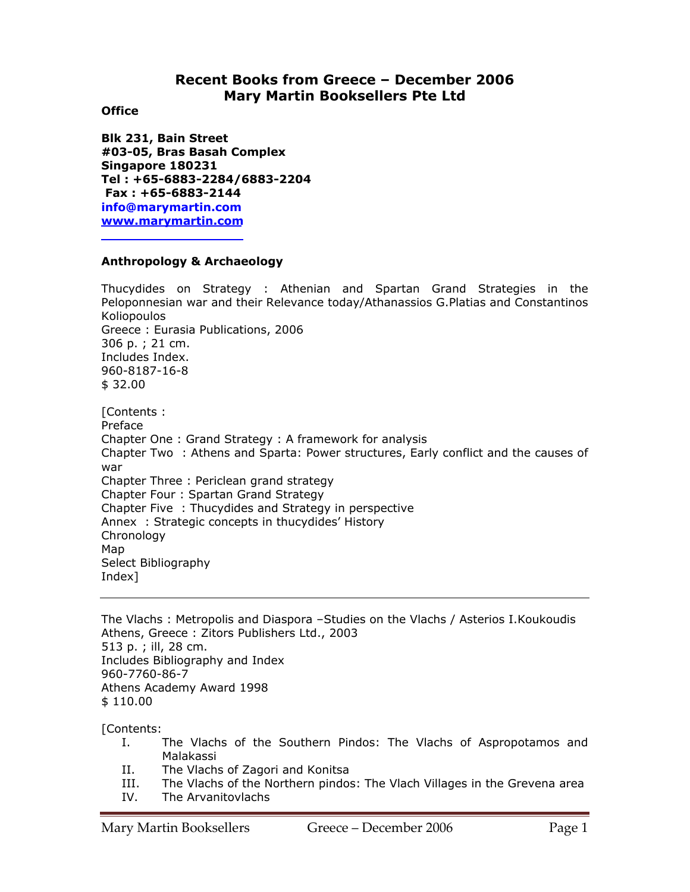# **Recent Books from Greece – December 2006 Mary Martin Booksellers Pte Ltd**

## **Office**

**Blk 231, Bain Street #03-05, Bras Basah Complex Singapore 180231 Tel : +65-6883-2284/6883-2204 Fax : +65-6883-2144 info@marymartin.com www.marymartin.com**

# **Anthropology & Archaeology**

Thucydides on Strategy : Athenian and Spartan Grand Strategies in the Peloponnesian war and their Relevance today/Athanassios G.Platias and Constantinos Koliopoulos Greece : Eurasia Publications, 2006 306 p. ; 21 cm. Includes Index. 960-8187-16-8 \$ 32.00

[Contents : Preface Chapter One : Grand Strategy : A framework for analysis Chapter Two : Athens and Sparta: Power structures, Early conflict and the causes of war Chapter Three : Periclean grand strategy Chapter Four : Spartan Grand Strategy Chapter Five : Thucydides and Strategy in perspective Annex : Strategic concepts in thucydides' History Chronology Map Select Bibliography Index]

The Vlachs : Metropolis and Diaspora –Studies on the Vlachs / Asterios I.Koukoudis Athens, Greece : Zitors Publishers Ltd., 2003 513 p. ; ill, 28 cm. Includes Bibliography and Index 960-7760-86-7 Athens Academy Award 1998 \$ 110.00

[Contents:

- I. The Vlachs of the Southern Pindos: The Vlachs of Aspropotamos and Malakassi
- II. The Vlachs of Zagori and Konitsa
- III. The Vlachs of the Northern pindos: The Vlach Villages in the Grevena area
- IV. The Arvanitovlachs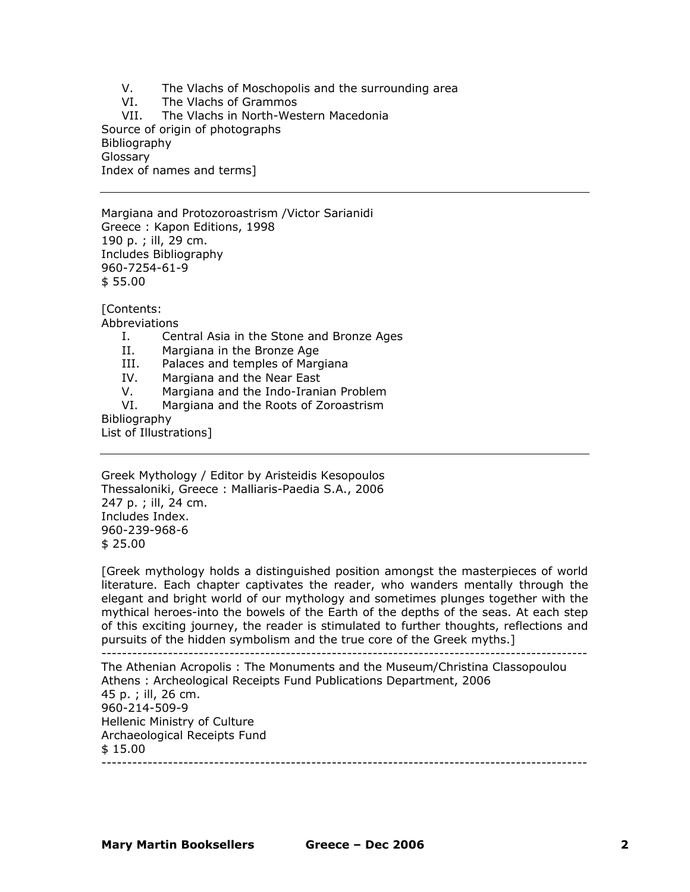V. The Vlachs of Moschopolis and the surrounding area

VI. The Vlachs of Grammos

VII. The Vlachs in North-Western Macedonia Source of origin of photographs Bibliography Glossary Index of names and terms]

Margiana and Protozoroastrism /Victor Sarianidi Greece : Kapon Editions, 1998 190 p. ; ill, 29 cm. Includes Bibliography 960-7254-61-9 \$ 55.00

[Contents:

Abbreviations

- I. Central Asia in the Stone and Bronze Ages
- II. Margiana in the Bronze Age
- III. Palaces and temples of Margiana
- IV. Margiana and the Near East
- V. Margiana and the Indo-Iranian Problem
- VI. Margiana and the Roots of Zoroastrism

Bibliography

List of Illustrations]

Greek Mythology / Editor by Aristeidis Kesopoulos Thessaloniki, Greece : Malliaris-Paedia S.A., 2006 247 p. ; ill, 24 cm. Includes Index. 960-239-968-6 \$ 25.00

[Greek mythology holds a distinguished position amongst the masterpieces of world literature. Each chapter captivates the reader, who wanders mentally through the elegant and bright world of our mythology and sometimes plunges together with the mythical heroes-into the bowels of the Earth of the depths of the seas. At each step of this exciting journey, the reader is stimulated to further thoughts, reflections and pursuits of the hidden symbolism and the true core of the Greek myths.] -----------------------------------------------------------------------------------------------

The Athenian Acropolis : The Monuments and the Museum/Christina Classopoulou Athens : Archeological Receipts Fund Publications Department, 2006 45 p. ; ill, 26 cm. 960-214-509-9 Hellenic Ministry of Culture Archaeological Receipts Fund \$ 15.00 -----------------------------------------------------------------------------------------------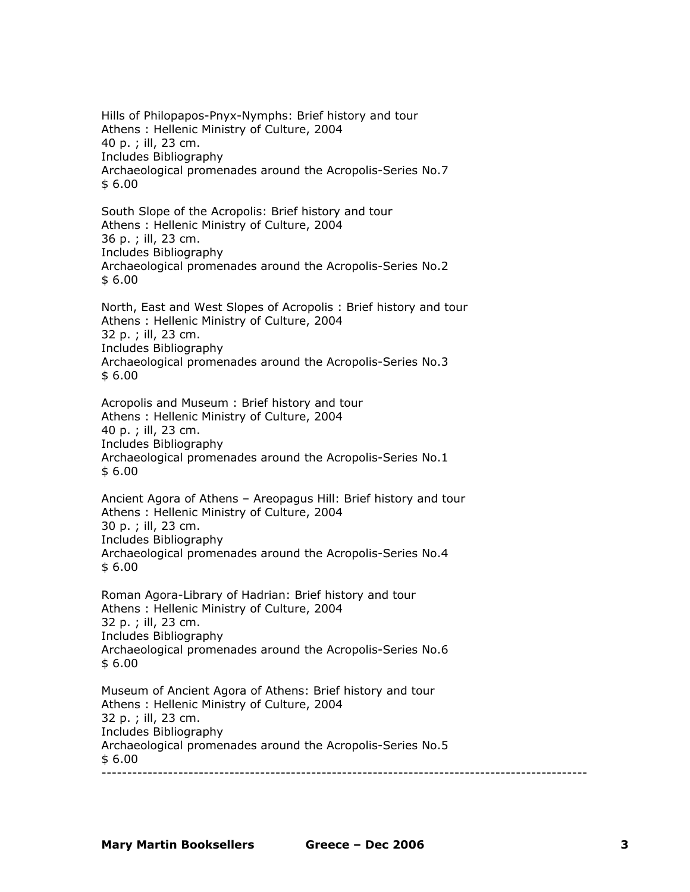Hills of Philopapos-Pnyx-Nymphs: Brief history and tour Athens : Hellenic Ministry of Culture, 2004 40 p. ; ill, 23 cm. Includes Bibliography Archaeological promenades around the Acropolis-Series No.7 \$ 6.00

South Slope of the Acropolis: Brief history and tour Athens : Hellenic Ministry of Culture, 2004 36 p. ; ill, 23 cm. Includes Bibliography Archaeological promenades around the Acropolis-Series No.2 \$ 6.00

North, East and West Slopes of Acropolis : Brief history and tour Athens : Hellenic Ministry of Culture, 2004 32 p. ; ill, 23 cm. Includes Bibliography Archaeological promenades around the Acropolis-Series No.3 \$ 6.00

Acropolis and Museum : Brief history and tour Athens : Hellenic Ministry of Culture, 2004 40 p. ; ill, 23 cm. Includes Bibliography Archaeological promenades around the Acropolis-Series No.1 \$ 6.00

Ancient Agora of Athens – Areopagus Hill: Brief history and tour Athens : Hellenic Ministry of Culture, 2004 30 p. ; ill, 23 cm. Includes Bibliography Archaeological promenades around the Acropolis-Series No.4 \$ 6.00

Roman Agora-Library of Hadrian: Brief history and tour Athens : Hellenic Ministry of Culture, 2004 32 p. ; ill, 23 cm. Includes Bibliography Archaeological promenades around the Acropolis-Series No.6 \$ 6.00

Museum of Ancient Agora of Athens: Brief history and tour Athens : Hellenic Ministry of Culture, 2004 32 p. ; ill, 23 cm. Includes Bibliography Archaeological promenades around the Acropolis-Series No.5  $$6.00$ -----------------------------------------------------------------------------------------------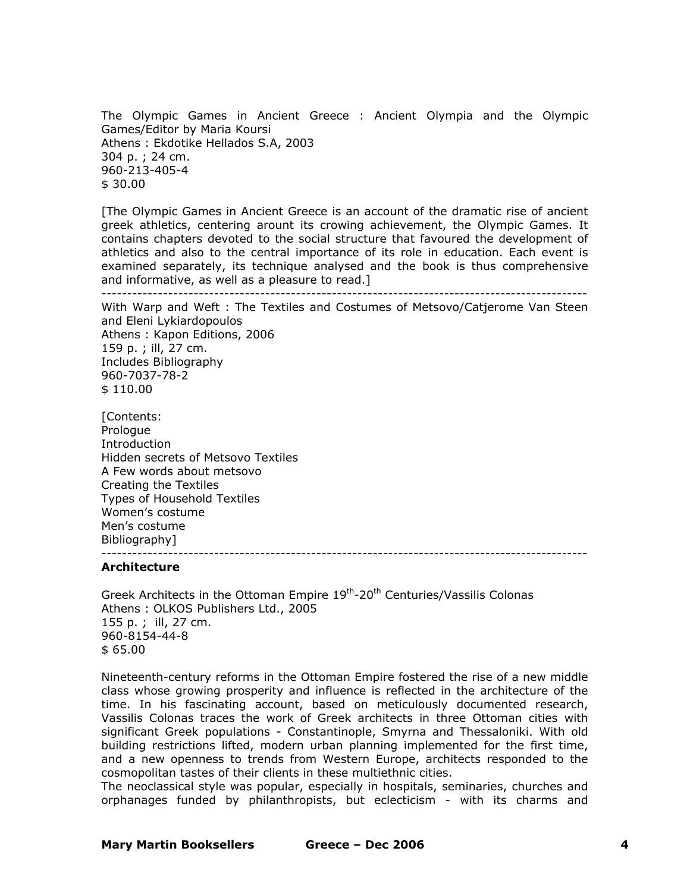The Olympic Games in Ancient Greece : Ancient Olympia and the Olympic Games/Editor by Maria Koursi Athens : Ekdotike Hellados S.A, 2003 304 p. ; 24 cm. 960-213-405-4 \$ 30.00

[The Olympic Games in Ancient Greece is an account of the dramatic rise of ancient greek athletics, centering arount its crowing achievement, the Olympic Games. It contains chapters devoted to the social structure that favoured the development of athletics and also to the central importance of its role in education. Each event is examined separately, its technique analysed and the book is thus comprehensive and informative, as well as a pleasure to read.]

-----------------------------------------------------------------------------------------------

With Warp and Weft : The Textiles and Costumes of Metsovo/Catjerome Van Steen and Eleni Lykiardopoulos Athens : Kapon Editions, 2006 159 p. ; ill, 27 cm. Includes Bibliography 960-7037-78-2 \$ 110.00

[Contents: Prologue Introduction Hidden secrets of Metsovo Textiles A Few words about metsovo Creating the Textiles Types of Household Textiles Women's costume Men's costume Bibliography]

#### -----------------------------------------------------------------------------------------------

#### **Architecture**

Greek Architects in the Ottoman Empire 19<sup>th</sup>-20<sup>th</sup> Centuries/Vassilis Colonas Athens : OLKOS Publishers Ltd., 2005 155 p. ; ill, 27 cm. 960-8154-44-8 \$ 65.00

Nineteenth-century reforms in the Ottoman Empire fostered the rise of a new middle class whose growing prosperity and influence is reflected in the architecture of the time. In his fascinating account, based on meticulously documented research, Vassilis Colonas traces the work of Greek architects in three Ottoman cities with significant Greek populations - Constantinople, Smyrna and Thessaloniki. With old building restrictions lifted, modern urban planning implemented for the first time, and a new openness to trends from Western Europe, architects responded to the cosmopolitan tastes of their clients in these multiethnic cities.

The neoclassical style was popular, especially in hospitals, seminaries, churches and orphanages funded by philanthropists, but eclecticism - with its charms and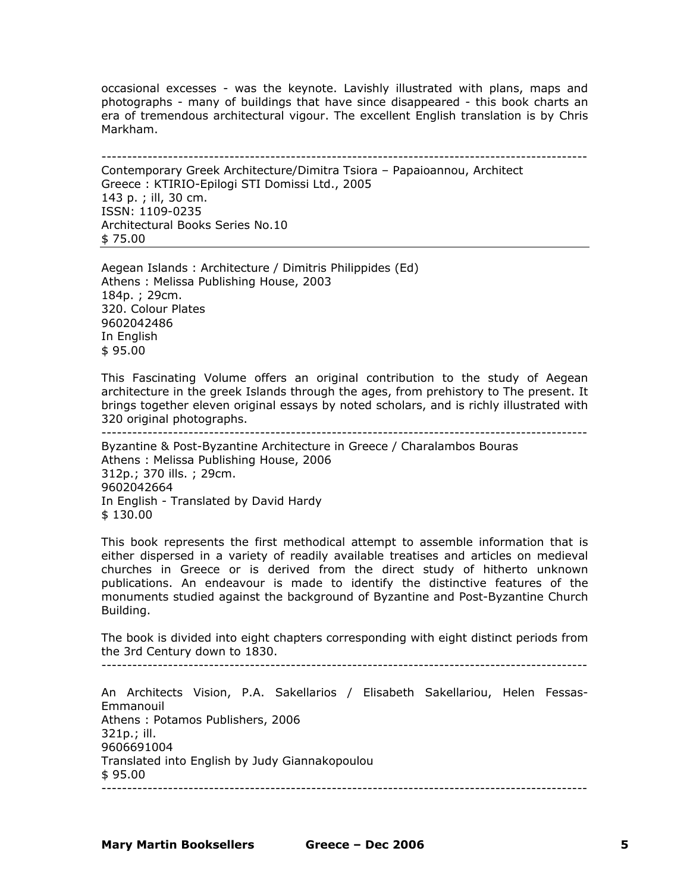occasional excesses - was the keynote. Lavishly illustrated with plans, maps and photographs - many of buildings that have since disappeared - this book charts an era of tremendous architectural vigour. The excellent English translation is by Chris Markham.

----------------------------------------------------------------------------------------------- Contemporary Greek Architecture/Dimitra Tsiora – Papaioannou, Architect Greece : KTIRIO-Epilogi STI Domissi Ltd., 2005 143 p. ; ill, 30 cm. ISSN: 1109-0235 Architectural Books Series No.10 \$ 75.00

Aegean Islands : Architecture / Dimitris Philippides (Ed) Athens : Melissa Publishing House, 2003 184p. ; 29cm. 320. Colour Plates 9602042486 In English \$ 95.00

This Fascinating Volume offers an original contribution to the study of Aegean architecture in the greek Islands through the ages, from prehistory to The present. It brings together eleven original essays by noted scholars, and is richly illustrated with 320 original photographs.

-----------------------------------------------------------------------------------------------

Byzantine & Post-Byzantine Architecture in Greece / Charalambos Bouras Athens : Melissa Publishing House, 2006 312p.; 370 ills. ; 29cm. 9602042664 In English - Translated by David Hardy \$ 130.00

This book represents the first methodical attempt to assemble information that is either dispersed in a variety of readily available treatises and articles on medieval churches in Greece or is derived from the direct study of hitherto unknown publications. An endeavour is made to identify the distinctive features of the monuments studied against the background of Byzantine and Post-Byzantine Church Building.

The book is divided into eight chapters corresponding with eight distinct periods from the 3rd Century down to 1830.

-----------------------------------------------------------------------------------------------

An Architects Vision, P.A. Sakellarios / Elisabeth Sakellariou, Helen Fessas-Emmanouil Athens : Potamos Publishers, 2006 321p.; ill. 9606691004 Translated into English by Judy Giannakopoulou \$ 95.00 -----------------------------------------------------------------------------------------------